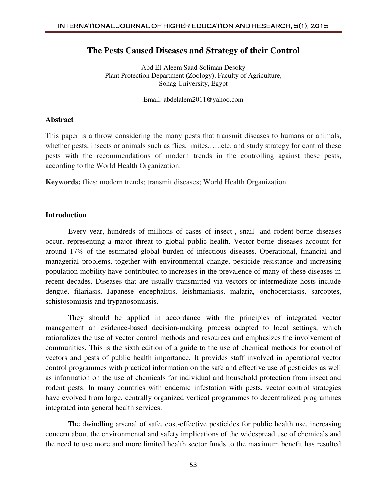# **The Pests Caused Diseases and Strategy of their Control**

Abd El-Aleem Saad Soliman Desoky Plant Protection Department (Zoology), Faculty of Agriculture, Sohag University, Egypt

Email: [abdelalem2011@yahoo.com](mailto:abdelalem2011@yahoo.com)

#### **Abstract**

This paper is a throw considering the many pests that transmit diseases to humans or animals, whether pests, insects or animals such as flies, mites,.....etc. and study strategy for control these pests with the recommendations of modern trends in the controlling against these pests, according to the World Health Organization.

**Keywords:** flies; modern trends; transmit diseases; World Health Organization.

## **Introduction**

Every year, hundreds of millions of cases of insect-, snail- and rodent-borne diseases occur, representing a major threat to global public health. Vector-borne diseases account for around 17% of the estimated global burden of infectious diseases. Operational, financial and managerial problems, together with environmental change, pesticide resistance and increasing population mobility have contributed to increases in the prevalence of many of these diseases in recent decades. Diseases that are usually transmitted via vectors or intermediate hosts include dengue, filariasis, Japanese encephalitis, leishmaniasis, malaria, onchocerciasis, sarcoptes, schistosomiasis and trypanosomiasis.

They should be applied in accordance with the principles of integrated vector management an evidence-based decision-making process adapted to local settings, which rationalizes the use of vector control methods and resources and emphasizes the involvement of communities. This is the sixth edition of a guide to the use of chemical methods for control of vectors and pests of public health importance. It provides staff involved in operational vector control programmes with practical information on the safe and effective use of pesticides as well as information on the use of chemicals for individual and household protection from insect and rodent pests. In many countries with endemic infestation with pests, vector control strategies have evolved from large, centrally organized vertical programmes to decentralized programmes integrated into general health services.

The dwindling arsenal of safe, cost-effective pesticides for public health use, increasing concern about the environmental and safety implications of the widespread use of chemicals and the need to use more and more limited health sector funds to the maximum benefit has resulted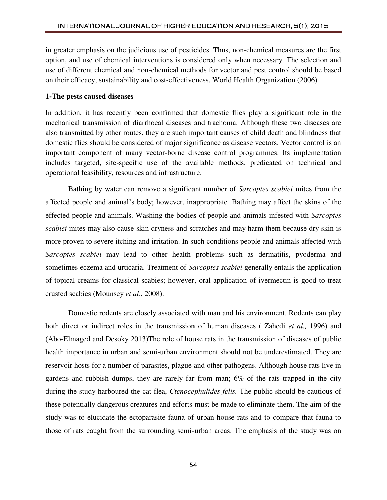in greater emphasis on the judicious use of pesticides. Thus, non-chemical measures are the first option, and use of chemical interventions is considered only when necessary. The selection and use of different chemical and non-chemical methods for vector and pest control should be based on their efficacy, sustainability and cost-effectiveness. World Health Organization (2006)

#### **1-The pests caused diseases**

In addition, it has recently been confirmed that domestic flies play a significant role in the mechanical transmission of diarrhoeal diseases and trachoma. Although these two diseases are also transmitted by other routes, they are such important causes of child death and blindness that domestic flies should be considered of major significance as disease vectors. Vector control is an important component of many vector-borne disease control programmes. Its implementation includes targeted, site-specific use of the available methods, predicated on technical and operational feasibility, resources and infrastructure.

Bathing by water can remove a significant number of *Sarcoptes scabiei* mites from the affected people and animal's body; however, inappropriate .Bathing may affect the skins of the effected people and animals. Washing the bodies of people and animals infested with *Sarcoptes scabiei* mites may also cause skin dryness and scratches and may harm them because dry skin is more proven to severe itching and irritation. In such conditions people and animals affected with *Sarcoptes scabiei* may lead to other health problems such as dermatitis, pyoderma and sometimes eczema and urticaria. Treatment of *Sarcoptes scabiei* generally entails the application of topical creams for classical scabies; however, oral application of ivermectin is good to treat crusted scabies (Mounsey *et al*., 2008).

Domestic rodents are closely associated with man and his environment. Rodents can play both direct or indirect roles in the transmission of human diseases ( Zahedi *et al.,* 1996) and (Abo-Elmaged and Desoky 2013)The role of house rats in the transmission of diseases of public health importance in urban and semi-urban environment should not be underestimated. They are reservoir hosts for a number of parasites, plague and other pathogens. Although house rats live in gardens and rubbish dumps, they are rarely far from man; 6% of the rats trapped in the city during the study harboured the cat flea, *Ctenocephulides felis.* The public should be cautious of these potentially dangerous creatures and efforts must be made to eliminate them. The aim of the study was to elucidate the ectoparasite fauna of urban house rats and to compare that fauna to those of rats caught from the surrounding semi-urban areas. The emphasis of the study was on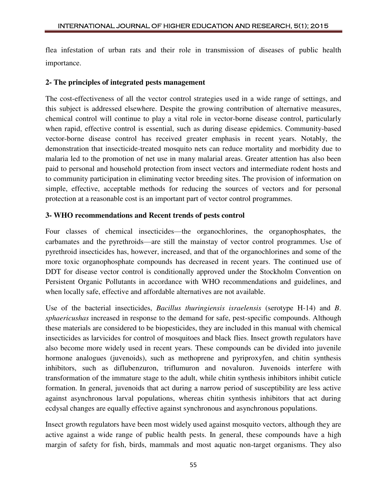flea infestation of urban rats and their role in transmission of diseases of public health importance.

## **2- The principles of integrated pests management**

The cost-effectiveness of all the vector control strategies used in a wide range of settings, and this subject is addressed elsewhere. Despite the growing contribution of alternative measures, chemical control will continue to play a vital role in vector-borne disease control, particularly when rapid, effective control is essential, such as during disease epidemics. Community-based vector-borne disease control has received greater emphasis in recent years. Notably, the demonstration that insecticide-treated mosquito nets can reduce mortality and morbidity due to malaria led to the promotion of net use in many malarial areas. Greater attention has also been paid to personal and household protection from insect vectors and intermediate rodent hosts and to community participation in eliminating vector breeding sites. The provision of information on simple, effective, acceptable methods for reducing the sources of vectors and for personal protection at a reasonable cost is an important part of vector control programmes.

# **3- WHO recommendations and Recent trends of pests control**

Four classes of chemical insecticides—the organochlorines, the organophosphates, the carbamates and the pyrethroids—are still the mainstay of vector control programmes. Use of pyrethroid insecticides has, however, increased, and that of the organochlorines and some of the more toxic organophosphate compounds has decreased in recent years. The continued use of DDT for disease vector control is conditionally approved under the Stockholm Convention on Persistent Organic Pollutants in accordance with WHO recommendations and guidelines, and when locally safe, effective and affordable alternatives are not available.

Use of the bacterial insecticides, *Bacillus thuringiensis israelensis* (serotype H-14) and *B*. *sphaericushas* increased in response to the demand for safe, pest-specific compounds. Although these materials are considered to be biopesticides, they are included in this manual with chemical insecticides as larvicides for control of mosquitoes and black flies. Insect growth regulators have also become more widely used in recent years. These compounds can be divided into juvenile hormone analogues (juvenoids), such as methoprene and pyriproxyfen, and chitin synthesis inhibitors, such as diflubenzuron, triflumuron and novaluron. Juvenoids interfere with transformation of the immature stage to the adult, while chitin synthesis inhibitors inhibit cuticle formation. In general, juvenoids that act during a narrow period of susceptibility are less active against asynchronous larval populations, whereas chitin synthesis inhibitors that act during ecdysal changes are equally effective against synchronous and asynchronous populations.

Insect growth regulators have been most widely used against mosquito vectors, although they are active against a wide range of public health pests. In general, these compounds have a high margin of safety for fish, birds, mammals and most aquatic non-target organisms. They also